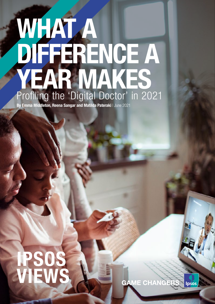# WHAT A DIFFERENCE A YEAR MAKES Profiling the 'Digital Doctor' in 2021

By Emma Middleton, Reena Sangar and Matilda Pateraki | June 2021

**GAME CHANGERS Ipsos** 

# IPSOS VIEWS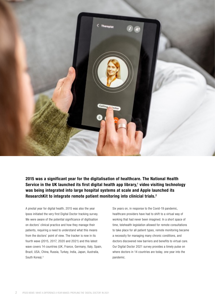

#### 2015 was a significant year for the digitalisation of healthcare. The National Health Service in the UK launched its first digital health app library, $1$  video visiting technology was being integrated into large hospital systems at scale and Apple launched its ResearchKit to integrate remote patient monitoring into clinicial trials.<sup>2</sup>

A pivotal year for digital health, 2015 was also the year Ipsos initiated the very first Digital Doctor tracking survey. We were aware of the potential significance of digitisation on doctors' clinical practice and how they manage their patients, requiring a need to understand what this means from the doctors' point of view. The tracker is now in its fourth wave (2015, 2017, 2020 and 2021) and this latest wave covers 14 countries (UK, France, Germany, Italy, Spain, Brazil, USA, China, Russia, Turkey, India, Japan, Australia, South Korea).3

Six years on, in response to the Covid-19 pandemic, healthcare providers have had to shift to a virtual way of working that had never been imagined. In a short space of time, telehealth legislation allowed for remote consultations to take place for all patient types, remote monitoring became a necessity for managing many chronic conditions, and doctors discovered new barriers and benefits to virtual care. Our Digital Doctor 2021 survey provides a timely pulse on where doctors in 14 countries are today, one year into the pandemic.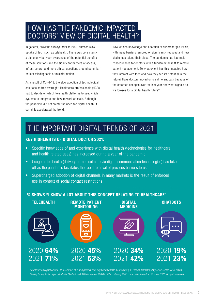### HOW HAS THE PANDEMIC IMPACTED DOCTORS' VIEW OF DIGITAL HEALTH?

In general, previous surveys prior to 2020 showed slow uptake of tech such as telehealth. There was consistently a dichotomy between awareness of the potential benefits of these solutions and the significant barriers of access, infrastructure, and more ethical questions around potential patient misdiagnosis or misinformation.

As a result of Covid-19, the slow adoption of technological solutions shifted overnight. Healthcare professionals (HCPs) had to decide on which telehealth platforms to use, which systems to integrate and how to work at scale. Although the pandemic did not create the need for digital health, it certainly accelerated the trend.

Now we see knowledge and adoption at supercharged levels, with many barriers removed or significantly reduced and new challenges taking their place. The pandemic has had major consequences for doctors with a fundamental shift to remote patient management. To what extent has this impacted how they interact with tech and how they see its potential in the future? Have doctors moved onto a different path because of the enforced changes over the last year and what signals do we foresee for a digital health future?

## THE IMPORTANT DIGITAL TRENDS OF 2021

#### KEY HIGHLIGHTS OF DIGITAL DOCTOR 2021:

- Specific knowledge of and experience with digital health (technologies for healthcare and health related uses) has increased during a year of the pandemic
- Usage of telehealth (delivery of medical care via digital communication technologies) has taken off as the pandemic facilitates the rapid removal of previous barriers to use
- Supercharged adoption of digital channels in many markets is the result of enforced use in context of social contact restrictions

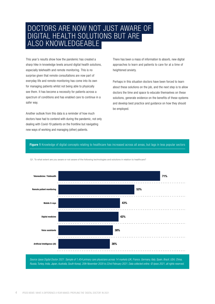#### DOCTORS ARE NOW NOT JUST AWARE OF DIGITAL HEALTH SOLUTIONS BUT ARE ALSO KNOWLEDGEABLE

This year's results show how the pandemic has created a sharp hike in knowledge levels around digital health solutions, especially telehealth and remote monitoring. This is no surprise given that remote consultations are now part of everyday life and remote monitoring has come into its own for managing patients whilst not being able to physically see them. It has become a necessity for patients across a spectrum of conditions and has enabled care to continue in a safer way.

Another outlook from this data is a reminder of how much doctors have had to contend with during the pandemic, not only dealing with Covid-19 patients on the frontline but navigating new ways of working and managing (other) patients.

There has been a mass of information to absorb, new digital approaches to learn and patients to care for at a time of heightened anxiety.

Perhaps in this situation doctors have been forced to learn about these solutions on the job, and the next step is to allow doctors the time and space to educate themselves on these solutions, generate evidence on the benefits of these systems and develop best practice and guidance on how they should be employed.

#### Figure 1 Knowledge of digital concepts relating to healthcare has increased across all areas, but lags in less popular sectors



Q1. To what extent are you aware or not aware of the following technologies and solutions in relation to healthcare?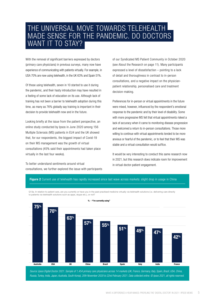#### THE UNIVERSAL MOVE TOWARDS TELEHEALTH MADE SENSE FOR THE PANDEMIC. DO DOCTORS WANT IT TO STAY?

With the removal of significant barriers expressed by doctors (primary care physicians) in previous surveys, many now have experience of communicating with patients virtually. For example, in USA 70% are now using telehealth, in the UK 63% and Spain 51%.

Of those using telehealth, seven in 10 started to use it during the pandemic, and their hasty introduction may have resulted in a feeling of some lack of education on its use. Although lack of training has not been a barrier to telehealth adoption during this time, as many as 76% globally say training is important in their decision to provide telehealth now and in the future.

Looking briefly at the issue from the patient perspective, an online study conducted by Ipsos in June 2020 among 156 Multiple Sclerosis (MS) patients in EU4 and the UK showed that, for our respondents, the biggest impact of Covid-19 on their MS management was the growth of virtual consultations (45% said their appointments had taken place virtually in the last four weeks).

To better understand sentiments around virtual consultations, we further explored the issue with participants of our Syndicated MS Patient Community in October 2020 (see About the Research on page 11). Many participants expressed a level of dissatisfaction – pointing to a lack of detail and thoroughness in contrast to in-person consultations, and a negative impact on the physicianpatient relationship, personalised care and treatment decision-making.

Preferences for in-person or virtual appointments in the future were mixed, however, influenced by the respondent's emotional response to the pandemic and by their level of disability. Some with more progressive MS felt that virtual appointments risked a lack of accuracy when it came to monitoring disease progression and welcomed a return to in-person consultations. Those more willing to continue with virtual appointments tended to be more anxious or fearful of the pandemic, or to feel that their MS was stable and a virtual consultation would suffice.

It would be very interesting to conduct this same research now in 2021, but this research does indicate room for improvement in virtual doctor-patient engagement.



Q13a. In relation to patient care, are you currently or have you in the past practised medicine virtually via telehealth solutions (i.e. delivering care directly to patients via telehealth solutions such as apps, skype etc.), or not?



**% - "I'm currently using"**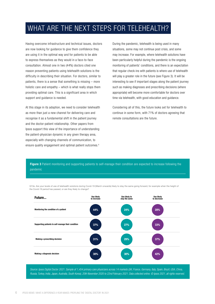## WHAT ARE THE NEXT STEPS FOR TELEHEALTH?

Having overcome infrastructure and technical issues, doctors are now looking for guidance to give them confidence they are using it in the optimal way and for patients to be able to express themselves as they would in a face-to-face consultation. Almost one in two (44%) doctors cited one reason preventing patients using telehealth solutions is the difficulty in describing their situation. For doctors, similar to patients, there is a sense that something is missing – more holistic care and empathy – which is what really stops them providing optimal care. This is a significant area in which support and guidance is needed.

At this stage in its adoption, we need to consider telehealth as more than just a new channel for delivering care and recognise it as a fundamental shift in the patient journey and the doctor-patient relationship. Other papers from Ipsos support this view of the importance of understanding the patient-physician dynamic in any given therapy area, especially with changing channels of communication, to ensure quality engagement and optimal patient outcomes.4

During the pandemic, telehealth is being used in many situations, some may not continue post crisis, and some may increase. For example, where telehealth solutions have been particularly helpful during the pandemic is the ongoing monitoring of patients' conditions, and there is an expectation that regular check-ins with patients is where use of telehealth will play a greater role in the future (see Figure 3). It will be interesting to see if important stages along the patient journey such as making diagnoses and prescribing decisions (where appropriate) will become more comfortable for doctors over time via telehealth, with good education and guidance.

Considering all of this, the future looks set for telehealth to continue in some form, with 71% of doctors agreeing that remote consultations are the future.

Figure 3 Patient monitoring and supporting patients to self-manage their condition are expected to increase following the pandemic

Q13e. Are your levels of use of telehealth solutions during Covid-19 (March onwards) likely to stay the same going forward, for example when the height of the Covid-19 period has passed, or are they likely to change?

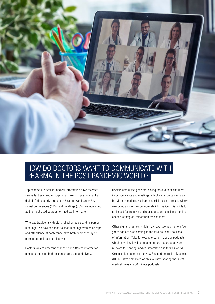

#### HOW DO DOCTORS WANT TO COMMUNICATE WITH PHARMA IN THE POST PANDEMIC WORLD?

Top channels to access medical information have reversed versus last year and unsurprisingly are now predominantly digital. Online study modules (46%) and webinars (45%), virtual conferences (42%) and meetings (36%) are now cited as the most used sources for medical information.

Whereas traditionally doctors relied on peers and in-person meetings, we now see face-to-face meetings with sales reps and attendance at conference have both decreased by 17 percentage points since last year.

Doctors look to different channels for different information needs, combining both in-person and digital delivery.

Doctors across the globe are looking forward to having more in-person events and meetings with pharma companies again but virtual meetings, webinars and click-to-chat are also widely welcomed as ways to communicate information. This points to a blended future in which digital strategies complement offline channel strategies, rather than replace them.

Other digital channels which may have seemed niche a few years ago are also coming to the fore as useful sources of information. Take for example patient apps or podcasts which have low levels of usage but are regarded as very relevant for sharing medical information in today's world. Organisations such as the New England Journal of Medicine (NEJM) have embarked on this journey, sharing the latest medical news via 30 minute podcasts.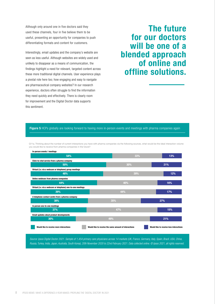Although only around one in five doctors said they used these channels, four in five believe them to be useful, presenting an opportunity for companies to push differentiating formats and content for customers.

Interestingly, email updates and the company's website are seen as less useful. Although websites are widely used and unlikely to disappear as a means of communication, the findings highlight a need for relevant, targeted content across these more traditional digital channels. User experience plays a pivotal role here too; how engaging and easy to navigate are pharmaceutical company websites? In our research experience, doctors often struggle to find the information they need quickly and effectively. There is clearly room for improvement and the Digital Doctor data supports this sentiment.

## The future for our doctors will be one of a blended approach of online and offline solutions.

#### Figure 5 HCPs globally are looking forward to having more in-person events and meetings with pharma companies again

Q11a. Thinking about the number of current interactions you have with pharma companies via the following sources, what would be the ideal interaction volume you would like to receive from pharma companies in the future?

| In-person events / meetings                                  |                                                       |                                         |
|--------------------------------------------------------------|-------------------------------------------------------|-----------------------------------------|
| 54%                                                          | 33%                                                   | 13%                                     |
| Click-to-chat service from a pharma company                  |                                                       |                                         |
| 50%                                                          | 30%                                                   | 21%                                     |
| Virtual (i.e. via a webcam or telephone) group meetings      |                                                       |                                         |
| 48%                                                          | 39%                                                   | 12%                                     |
| Online webinars from pharma companies                        |                                                       |                                         |
| 44%                                                          | 40%                                                   | 16%                                     |
| Virtual (i.e. via a webcam or telephone) one-to-one meetings |                                                       |                                         |
| 39%                                                          | 44%                                                   | 17%                                     |
| A telephone contact centre from a pharma company             |                                                       |                                         |
| 38%                                                          | 35%                                                   | 27%                                     |
| In person one-to-one meetings                                |                                                       |                                         |
| 37%                                                          | 47%                                                   | 15%                                     |
| Email updates about product developments                     |                                                       |                                         |
| 30%                                                          | 49%                                                   | 21%                                     |
| Would like to receive more interactions                      | Would like to receive the same amount of interactions | Would like to receive less interactions |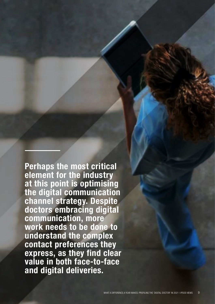Perhaps the most critical element for the industry at this point is optimising the digital communication channel strategy. Despite doctors embracing digital communication, more work needs to be done to understand the complex contact preferences they express, as they find clear value in both face-to-face and digital deliveries.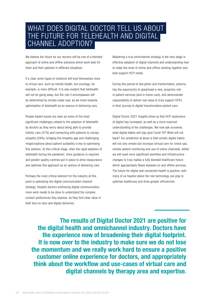

We believe the future for our doctors will be one of a blended approach of online and offline solutions which work best for them and their patients in different situations.

It's clear some types of medicine will lend themselves more to virtual care, such as mental health, but oncology, for example, is more difficult. It is also evident that telehealth will not be going away, but the role it encompasses will be determined by strides made now, as we move towards optimisation of telehealth as an avenue of delivering care.

People-based issues are seen as some of the most significant challenges related to the adoption of telehealth by doctors as they worry about being able to provide holistic care (37%) and connecting with patients to convey empathy (29%); bridging the empathy gap and challenging misperceptions about patient suitability is key to optimising this solution. At this critical stage, after the rapid adoption of telehealth during the pandemic, more guidance is required and greater quality controls put in place to drive reassurance and optimise this approach as an avenue of delivering care.

Perhaps the most critical element for the industry at this point is optimising the digital communication channel strategy. Despite doctors embracing digital communication, more work needs to be done to understand the complex contact preferences they express, as they find clear value in both face-to-face and digital deliveries.

Mastering a true omnichannel strategy is the next stage in effective adoption of digital channels and understanding how to make the most of online and offline working together and best support HCP needs.

During this period of disruption and tranformation, pharma has the opportunity to spearhead a new, proactive role in patient services (and in-home care), and demonstrate responsibility to deliver real value to truly support HCPs in their journey to digital transformative patient care.

Digital Doctor 2021 insights show us that HCP experience of digital has increased, as well as a more nuanced understanding of the challenges. We now ask ourselves, what digital habits will stay post Covid-19? What will roll back? Our prediction at Ipsos is that certain digital habits will not only remain but increase (virtual care for check ups, remote patient monitoring and use of online channels), whilst we will need more significant workflow and infrastructure changes to truly realise a fully blended healthcare future which appropriately flexes between on and offline services. The future for digital and connected health is positive, with many of us hopeful about the role technology can play to optimise healthcare and drive greater efficiencies.

The results of Digital Doctor 2021 are positive for the digital health and omnichannel industry. Doctors have the experience now of broadening their digital footprint. It is now over to the industry to make sure we do not lose the momentum and we really work hard to ensure a positive customer online experience for doctors, and appropriately think about the workflow and use-cases of virtual care and digital channels by therapy area and expertise.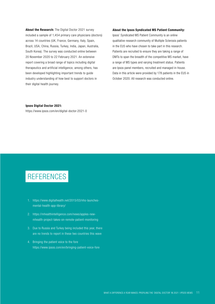About the Research: The Digital Doctor 2021 survey included a sample of 1,454 primary care physicians (doctors) across 14 countries (UK, France, Germany, Italy, Spain, Brazil, USA, China, Russia, Turkey, India, Japan, Australia, South Korea). The survey was conducted online between 20 November 2020 to 22 February 2021. An extensive report covering a broad range of topics including digital therapeutics and artificial intelligence, among others, has been developed highlighting important trends to guide industry understanding of how best to support doctors in their digital health journey.

#### About the Ipsos Syndicated MS Patient Community:

Ipsos' Syndicated MS Patient Community is an online qualitative research community of Multiple Sclerosis patients in the EU5 who have chosen to take part in this research. Patients are recruited to ensure they are taking a range of DMTs to span the breadth of the competitive MS market, have a range of MS types and varying treatment status. Patients are Ipsos panel members, recruited and managed in-house. Data in this article were provided by 178 patients in the EU5 in October 2020. All research was conducted online.

#### Ipsos Digital Doctor 2021:

https://www.ipsos.com/en/digital-doctor-2021-0

## REFERENCES

- 1. https://www.digitalhealth.net/2015/03/nhs-launchesmental-health-app-library/
- 2. https://mhealthintelligence.com/news/apples-newmhealth-project-takes-on-remote-patient-monitoring
- 3. Due to Russia and Turkey being included this year, there are no trends to report in these two countries this wave
- 4. Bringing the patient voice to the fore https://www.ipsos.com/en/bringing-patient-voice-fore